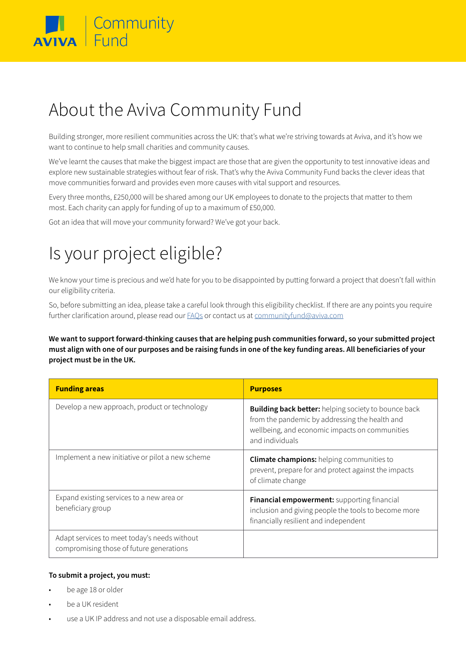

# About the Aviva Community Fund

Building stronger, more resilient communities across the UK: that's what we're striving towards at Aviva, and it's how we want to continue to help small charities and community causes.

We've learnt the causes that make the biggest impact are those that are given the opportunity to test innovative ideas and explore new sustainable strategies without fear of risk. That's why the Aviva Community Fund backs the clever ideas that move communities forward and provides even more causes with vital support and resources.

Every three months, £250,000 will be shared among our UK employees to donate to the projects that matter to them most. Each charity can apply for funding of up to a maximum of £50,000.

Got an idea that will move your community forward? We've got your back.

## Is your project eligible?

We know your time is precious and we'd hate for you to be disappointed by putting forward a project that doesn't fall within our eligibility criteria.

So, before submitting an idea, please take a careful look through this eligibility checklist. If there are any points you require further clarification around, please read our **FAQs** or contact us at [communityfund@aviva.com](mailto:communityfund%40aviva.com?subject=)

**We want to support forward-thinking causes that are helping push communities forward, so your submitted project must align with one of our purposes and be raising funds in one of the key funding areas. All beneficiaries of your project must be in the UK.**

| <b>Funding areas</b>                                                                     | <b>Purposes</b>                                                                                                                                                                    |
|------------------------------------------------------------------------------------------|------------------------------------------------------------------------------------------------------------------------------------------------------------------------------------|
| Develop a new approach, product or technology                                            | <b>Building back better:</b> helping society to bounce back<br>from the pandemic by addressing the health and<br>wellbeing, and economic impacts on communities<br>and individuals |
| Implement a new initiative or pilot a new scheme                                         | <b>Climate champions:</b> helping communities to<br>prevent, prepare for and protect against the impacts<br>of climate change                                                      |
| Expand existing services to a new area or<br>beneficiary group                           | Financial empowerment: supporting financial<br>inclusion and giving people the tools to become more<br>financially resilient and independent                                       |
| Adapt services to meet today's needs without<br>compromising those of future generations |                                                                                                                                                                                    |

#### **To submit a project, you must:**

- be age 18 or older
- be a UK resident
- use a UK IP address and not use a disposable email address.